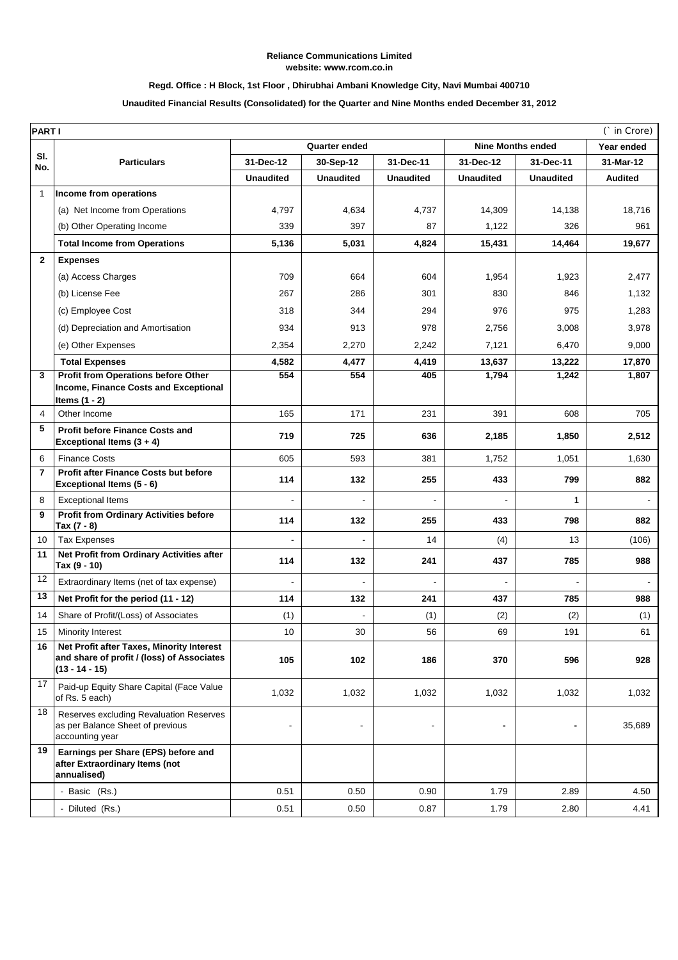### **Reliance Communications Limited website: www.rcom.co.in**

# **Regd. Office : H Block, 1st Floor , Dhirubhai Ambani Knowledge City, Navi Mumbai 400710**

# **Unaudited Financial Results (Consolidated) for the Quarter and Nine Months ended December 31, 2012**

| <b>PARTI</b><br>(` in Crore) |                                                                                                             |                  |                  |                  |                          |                  |                |
|------------------------------|-------------------------------------------------------------------------------------------------------------|------------------|------------------|------------------|--------------------------|------------------|----------------|
|                              |                                                                                                             | Quarter ended    |                  |                  | <b>Nine Months ended</b> |                  | Year ended     |
| SI.<br>No.                   | <b>Particulars</b>                                                                                          | 31-Dec-12        | 30-Sep-12        | 31-Dec-11        | 31-Dec-12                | 31-Dec-11        | 31-Mar-12      |
|                              |                                                                                                             | <b>Unaudited</b> | <b>Unaudited</b> | <b>Unaudited</b> | <b>Unaudited</b>         | <b>Unaudited</b> | <b>Audited</b> |
| 1                            | Income from operations                                                                                      |                  |                  |                  |                          |                  |                |
|                              | (a) Net Income from Operations                                                                              | 4,797            | 4,634            | 4,737            | 14,309                   | 14,138           | 18,716         |
|                              | (b) Other Operating Income                                                                                  | 339              | 397              | 87               | 1,122                    | 326              | 961            |
|                              | <b>Total Income from Operations</b>                                                                         | 5,136            | 5,031            | 4,824            | 15,431                   | 14,464           | 19,677         |
| $\mathbf{2}$                 | <b>Expenses</b>                                                                                             |                  |                  |                  |                          |                  |                |
|                              | (a) Access Charges                                                                                          | 709              | 664              | 604              | 1,954                    | 1,923            | 2,477          |
|                              | (b) License Fee                                                                                             | 267              | 286              | 301              | 830                      | 846              | 1,132          |
|                              | (c) Employee Cost                                                                                           | 318              | 344              | 294              | 976                      | 975              | 1,283          |
|                              | (d) Depreciation and Amortisation                                                                           | 934              | 913              | 978              | 2,756                    | 3,008            | 3,978          |
|                              | (e) Other Expenses                                                                                          | 2,354            | 2,270            | 2,242            | 7,121                    | 6,470            | 9,000          |
|                              | <b>Total Expenses</b>                                                                                       | 4,582            | 4,477            | 4,419            | 13,637                   | 13,222           | 17,870         |
| 3                            | Profit from Operations before Other                                                                         | 554              | 554              | 405              | 1,794                    | 1,242            | 1,807          |
|                              | Income, Finance Costs and Exceptional<br>Items $(1 - 2)$                                                    |                  |                  |                  |                          |                  |                |
| 4                            | Other Income                                                                                                | 165              | 171              | 231              | 391                      | 608              | 705            |
| 5                            | <b>Profit before Finance Costs and</b><br>Exceptional Items $(3 + 4)$                                       | 719              | 725              | 636              | 2,185                    | 1,850            | 2,512          |
| 6                            | <b>Finance Costs</b>                                                                                        | 605              | 593              | 381              | 1,752                    | 1,051            | 1,630          |
| $\overline{7}$               | <b>Profit after Finance Costs but before</b><br>Exceptional Items (5 - 6)                                   | 114              | 132              | 255              | 433                      | 799              | 882            |
| 8                            | <b>Exceptional Items</b>                                                                                    |                  |                  |                  |                          | $\mathbf{1}$     |                |
| 9                            | <b>Profit from Ordinary Activities before</b><br>Tax $(7 - 8)$                                              | 114              | 132              | 255              | 433                      | 798              | 882            |
| 10                           | <b>Tax Expenses</b>                                                                                         |                  |                  | 14               | (4)                      | 13               | (106)          |
| 11                           | Net Profit from Ordinary Activities after<br>Tax (9 - 10)                                                   | 114              | 132              | 241              | 437                      | 785              | 988            |
| 12                           | Extraordinary Items (net of tax expense)                                                                    | $\blacksquare$   |                  | $\blacksquare$   |                          | ÷.               |                |
| 13                           | Net Profit for the period (11 - 12)                                                                         | 114              | 132              | 241              | 437                      | 785              | 988            |
| 14                           | Share of Profit/(Loss) of Associates                                                                        | (1)              |                  | (1)              | (2)                      | (2)              | (1)            |
| 15                           | <b>Minority Interest</b>                                                                                    | 10               | 30               | 56               | 69                       | 191              | 61             |
| 16                           | Net Profit after Taxes, Minority Interest<br>and share of profit / (loss) of Associates<br>$(13 - 14 - 15)$ | 105              | 102              | 186              | 370                      | 596              | 928            |
| 17                           | Paid-up Equity Share Capital (Face Value<br>of Rs. 5 each)                                                  | 1,032            | 1,032            | 1,032            | 1,032                    | 1,032            | 1,032          |
| 18                           | Reserves excluding Revaluation Reserves<br>as per Balance Sheet of previous<br>accounting year              |                  |                  |                  | -                        |                  | 35,689         |
| 19                           | Earnings per Share (EPS) before and<br>after Extraordinary Items (not<br>annualised)                        |                  |                  |                  |                          |                  |                |
|                              | - Basic (Rs.)                                                                                               | 0.51             | 0.50             | 0.90             | 1.79                     | 2.89             | 4.50           |
|                              | - Diluted (Rs.)                                                                                             | 0.51             | 0.50             | 0.87             | 1.79                     | 2.80             | 4.41           |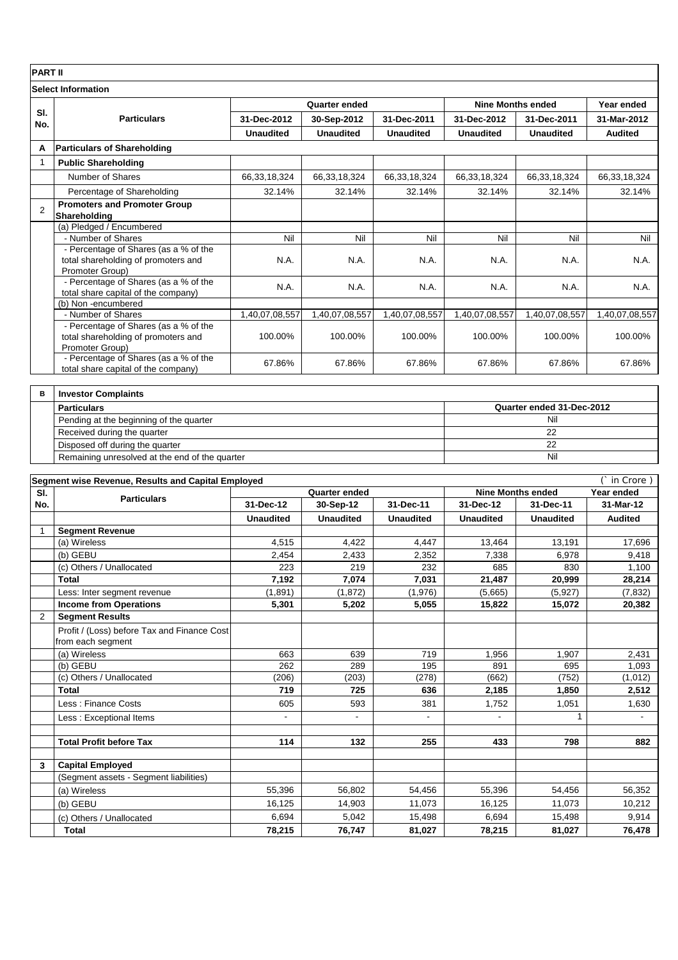# **PART II**

| <b>Select Information</b> |                                                                                                 |                  |                  |                  |                          |                  |                |  |
|---------------------------|-------------------------------------------------------------------------------------------------|------------------|------------------|------------------|--------------------------|------------------|----------------|--|
|                           | <b>Particulars</b>                                                                              | Quarter ended    |                  |                  | <b>Nine Months ended</b> |                  | Year ended     |  |
| SI.<br>No.                |                                                                                                 | 31-Dec-2012      | 30-Sep-2012      | 31-Dec-2011      | 31-Dec-2012              | 31-Dec-2011      | 31-Mar-2012    |  |
|                           |                                                                                                 | <b>Unaudited</b> | <b>Unaudited</b> | <b>Unaudited</b> | <b>Unaudited</b>         | <b>Unaudited</b> | <b>Audited</b> |  |
| A                         | <b>Particulars of Shareholding</b>                                                              |                  |                  |                  |                          |                  |                |  |
| 1                         | <b>Public Shareholding</b>                                                                      |                  |                  |                  |                          |                  |                |  |
|                           | Number of Shares                                                                                | 66,33,18,324     | 66,33,18,324     | 66,33,18,324     | 66,33,18,324             | 66,33,18,324     | 66,33,18,324   |  |
|                           | Percentage of Shareholding                                                                      | 32.14%           | 32.14%           | 32.14%           | 32.14%                   | 32.14%           | 32.14%         |  |
| 2                         | <b>Promoters and Promoter Group</b><br>Shareholding                                             |                  |                  |                  |                          |                  |                |  |
|                           | (a) Pledged / Encumbered                                                                        |                  |                  |                  |                          |                  |                |  |
|                           | - Number of Shares                                                                              | Nil              | Nil              | Nil              | Nil                      | Nil              | Nil            |  |
|                           | - Percentage of Shares (as a % of the<br>total shareholding of promoters and<br>Promoter Group) | N.A.             | N.A.             | N.A.             | N.A.                     | N.A.             | N.A.           |  |
|                           | - Percentage of Shares (as a % of the<br>total share capital of the company)                    | N.A.             | N.A.             | N.A.             | N.A.                     | N.A.             | N.A.           |  |
|                           | (b) Non-encumbered                                                                              |                  |                  |                  |                          |                  |                |  |
|                           | - Number of Shares                                                                              | 1,40,07,08,557   | 1,40,07,08,557   | 1,40,07,08,557   | 1,40,07,08,557           | 1,40,07,08,557   | 1,40,07,08,557 |  |
|                           | - Percentage of Shares (as a % of the<br>total shareholding of promoters and<br>Promoter Group) | 100.00%          | 100.00%          | 100.00%          | 100.00%                  | 100.00%          | 100.00%        |  |
|                           | - Percentage of Shares (as a % of the<br>total share capital of the company)                    | 67.86%           | 67.86%           | 67.86%           | 67.86%                   | 67.86%           | 67.86%         |  |

| <b>Investor Complaints</b>                     |                           |
|------------------------------------------------|---------------------------|
| <b>Particulars</b>                             | Quarter ended 31-Dec-2012 |
| Pending at the beginning of the quarter        | Nil                       |
| Received during the quarter                    | 22                        |
| Disposed off during the quarter                | 22                        |
| Remaining unresolved at the end of the quarter | Nil                       |

| Segment wise Revenue, Results and Capital Employed<br>in Crore) |                                             |                  |                  |                  |                          |                  |                |  |
|-----------------------------------------------------------------|---------------------------------------------|------------------|------------------|------------------|--------------------------|------------------|----------------|--|
| SI.                                                             | <b>Particulars</b>                          | Quarter ended    |                  |                  | <b>Nine Months ended</b> |                  | Year ended     |  |
| No.                                                             |                                             | 31-Dec-12        | 30-Sep-12        | 31-Dec-11        | 31-Dec-12                | 31-Dec-11        | 31-Mar-12      |  |
|                                                                 |                                             | <b>Unaudited</b> | <b>Unaudited</b> | <b>Unaudited</b> | <b>Unaudited</b>         | <b>Unaudited</b> | <b>Audited</b> |  |
|                                                                 | <b>Segment Revenue</b>                      |                  |                  |                  |                          |                  |                |  |
|                                                                 | (a) Wireless                                | 4,515            | 4,422            | 4,447            | 13,464                   | 13,191           | 17,696         |  |
|                                                                 | (b) GEBU                                    | 2,454            | 2,433            | 2,352            | 7,338                    | 6.978            | 9,418          |  |
|                                                                 | (c) Others / Unallocated                    | 223              | 219              | 232              | 685                      | 830              | 1,100          |  |
|                                                                 | Total                                       | 7,192            | 7,074            | 7,031            | 21,487                   | 20,999           | 28,214         |  |
|                                                                 | Less: Inter segment revenue                 | (1,891)          | (1,872)          | (1,976)          | (5,665)                  | (5,927)          | (7, 832)       |  |
|                                                                 | <b>Income from Operations</b>               | 5,301            | 5,202            | 5,055            | 15,822                   | 15,072           | 20,382         |  |
| $\overline{2}$                                                  | <b>Segment Results</b>                      |                  |                  |                  |                          |                  |                |  |
|                                                                 | Profit / (Loss) before Tax and Finance Cost |                  |                  |                  |                          |                  |                |  |
|                                                                 | from each segment                           |                  |                  |                  |                          |                  |                |  |
|                                                                 | (a) Wireless                                | 663              | 639              | 719              | 1.956                    | 1.907            | 2,431          |  |
|                                                                 | (b) GEBU                                    | 262              | 289              | 195              | 891                      | 695              | 1,093          |  |
|                                                                 | (c) Others / Unallocated                    | (206)            | (203)            | (278)            | (662)                    | (752)            | (1,012)        |  |
|                                                                 | Total                                       | 719              | 725              | 636              | 2,185                    | 1,850            | 2,512          |  |
|                                                                 | Less: Finance Costs                         | 605              | 593              | 381              | 1,752                    | 1,051            | 1,630          |  |
|                                                                 | Less: Exceptional Items                     | $\overline{a}$   | $\blacksquare$   | $\blacksquare$   | $\blacksquare$           | 1                | $\blacksquare$ |  |
|                                                                 |                                             |                  |                  |                  |                          |                  |                |  |
|                                                                 | <b>Total Profit before Tax</b>              | 114              | 132              | 255              | 433                      | 798              | 882            |  |
|                                                                 |                                             |                  |                  |                  |                          |                  |                |  |
| 3                                                               | <b>Capital Employed</b>                     |                  |                  |                  |                          |                  |                |  |
|                                                                 | (Segment assets - Segment liabilities)      |                  |                  |                  |                          |                  |                |  |
|                                                                 | (a) Wireless                                | 55,396           | 56,802           | 54,456           | 55,396                   | 54,456           | 56,352         |  |
|                                                                 | (b) GEBU                                    | 16,125           | 14,903           | 11,073           | 16,125                   | 11,073           | 10,212         |  |
|                                                                 | (c) Others / Unallocated                    | 6,694            | 5,042            | 15,498           | 6,694                    | 15,498           | 9,914          |  |
|                                                                 | Total                                       | 78,215           | 76,747           | 81,027           | 78,215                   | 81,027           | 76,478         |  |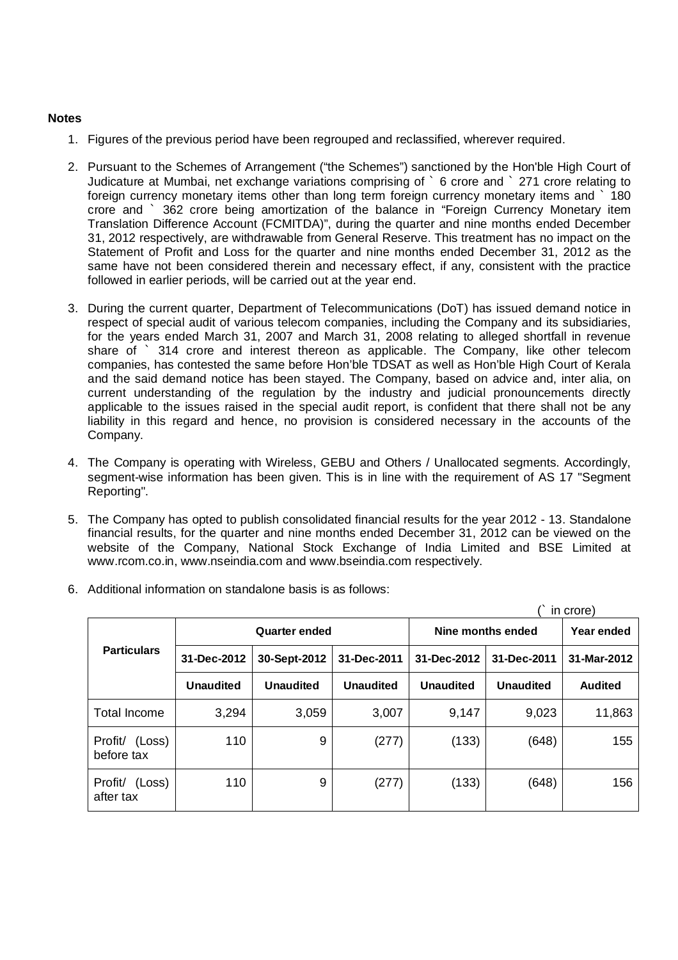# **Notes**

- 1. Figures of the previous period have been regrouped and reclassified, wherever required.
- 2. Pursuant to the Schemes of Arrangement ("the Schemes") sanctioned by the Hon'ble High Court of Judicature at Mumbai, net exchange variations comprising of ` 6 crore and ` 271 crore relating to foreign currency monetary items other than long term foreign currency monetary items and ` 180 crore and ` 362 crore being amortization of the balance in "Foreign Currency Monetary item Translation Difference Account (FCMITDA)", during the quarter and nine months ended December 31, 2012 respectively, are withdrawable from General Reserve. This treatment has no impact on the Statement of Profit and Loss for the quarter and nine months ended December 31, 2012 as the same have not been considered therein and necessary effect, if any, consistent with the practice followed in earlier periods, will be carried out at the year end.
- 3. During the current quarter, Department of Telecommunications (DoT) has issued demand notice in respect of special audit of various telecom companies, including the Company and its subsidiaries, for the years ended March 31, 2007 and March 31, 2008 relating to alleged shortfall in revenue share of ` 314 crore and interest thereon as applicable. The Company, like other telecom companies, has contested the same before Hon'ble TDSAT as well as Hon'ble High Court of Kerala and the said demand notice has been stayed. The Company, based on advice and, inter alia, on current understanding of the regulation by the industry and judicial pronouncements directly applicable to the issues raised in the special audit report, is confident that there shall not be any liability in this regard and hence, no provision is considered necessary in the accounts of the Company.
- 4. The Company is operating with Wireless, GEBU and Others / Unallocated segments. Accordingly, segment-wise information has been given. This is in line with the requirement of AS 17 "Segment Reporting".
- 5. The Company has opted to publish consolidated financial results for the year 2012 13. Standalone financial results, for the quarter and nine months ended December 31, 2012 can be viewed on the website of the Company, National Stock Exchange of India Limited and BSE Limited at www.rcom.co.in, www.nseindia.com and www.bseindia.com respectively.

| in crore)                       |                  |                      |                  |                   |                  |                |  |  |
|---------------------------------|------------------|----------------------|------------------|-------------------|------------------|----------------|--|--|
|                                 |                  | <b>Quarter ended</b> |                  | Nine months ended | Year ended       |                |  |  |
| <b>Particulars</b>              | 31-Dec-2012      | 30-Sept-2012         | 31-Dec-2011      | 31-Dec-2012       | 31-Dec-2011      | 31-Mar-2012    |  |  |
|                                 | <b>Unaudited</b> | <b>Unaudited</b>     | <b>Unaudited</b> | <b>Unaudited</b>  | <b>Unaudited</b> | <b>Audited</b> |  |  |
| <b>Total Income</b>             | 3,294            | 3,059                | 3,007            | 9,147             | 9,023            | 11,863         |  |  |
| Profit/<br>(Loss)<br>before tax | 110              | 9                    | (277)            | (133)             | (648)            | 155            |  |  |
| Profit/<br>(Loss)<br>after tax  | 110              | 9                    | (277)            | (133)             | (648)            | 156            |  |  |

6. Additional information on standalone basis is as follows: